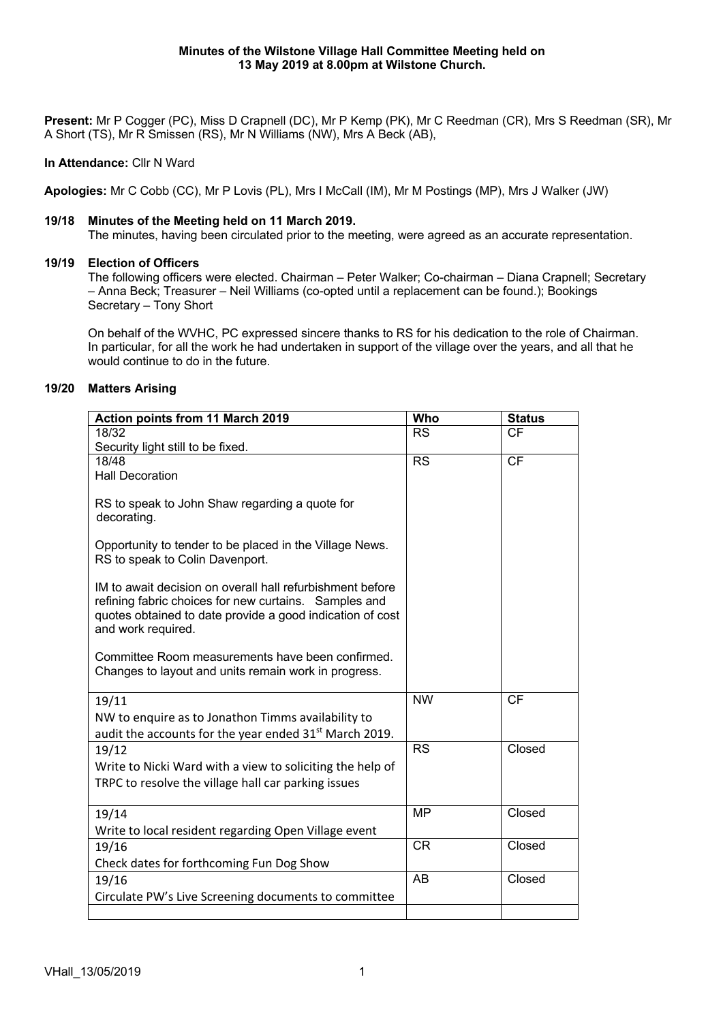**Present:** Mr P Cogger (PC), Miss D Crapnell (DC), Mr P Kemp (PK), Mr C Reedman (CR), Mrs S Reedman (SR), Mr A Short (TS), Mr R Smissen (RS), Mr N Williams (NW), Mrs A Beck (AB),

## **In Attendance:** Cllr N Ward

**Apologies:** Mr C Cobb (CC), Mr P Lovis (PL), Mrs I McCall (IM), Mr M Postings (MP), Mrs J Walker (JW)

#### **19/18 Minutes of the Meeting held on 11 March 2019.**

The minutes, having been circulated prior to the meeting, were agreed as an accurate representation.

### **19/19 Election of Officers**

The following officers were elected. Chairman – Peter Walker; Co-chairman – Diana Crapnell; Secretary – Anna Beck; Treasurer – Neil Williams (co-opted until a replacement can be found.); Bookings Secretary – Tony Short

On behalf of the WVHC, PC expressed sincere thanks to RS for his dedication to the role of Chairman. In particular, for all the work he had undertaken in support of the village over the years, and all that he would continue to do in the future.

### **19/20 Matters Arising**

| Action points from 11 March 2019                                                                                                                                                                      | Who             | <b>Status</b> |
|-------------------------------------------------------------------------------------------------------------------------------------------------------------------------------------------------------|-----------------|---------------|
| 18/32                                                                                                                                                                                                 | <b>RS</b>       | <b>CF</b>     |
| Security light still to be fixed.                                                                                                                                                                     |                 |               |
| 18/48                                                                                                                                                                                                 | <b>RS</b>       | <b>CF</b>     |
| <b>Hall Decoration</b>                                                                                                                                                                                |                 |               |
| RS to speak to John Shaw regarding a quote for<br>decorating.                                                                                                                                         |                 |               |
| Opportunity to tender to be placed in the Village News.<br>RS to speak to Colin Davenport.                                                                                                            |                 |               |
| IM to await decision on overall hall refurbishment before<br>refining fabric choices for new curtains. Samples and<br>quotes obtained to date provide a good indication of cost<br>and work required. |                 |               |
| Committee Room measurements have been confirmed.<br>Changes to layout and units remain work in progress.                                                                                              |                 |               |
| 19/11                                                                                                                                                                                                 | <b>NW</b>       | <b>CF</b>     |
| NW to enquire as to Jonathon Timms availability to                                                                                                                                                    |                 |               |
| audit the accounts for the year ended 31 <sup>st</sup> March 2019.                                                                                                                                    |                 |               |
| 19/12                                                                                                                                                                                                 | <b>RS</b>       | Closed        |
| Write to Nicki Ward with a view to soliciting the help of                                                                                                                                             |                 |               |
| TRPC to resolve the village hall car parking issues                                                                                                                                                   |                 |               |
|                                                                                                                                                                                                       |                 |               |
| 19/14                                                                                                                                                                                                 | <b>MP</b>       | Closed        |
| Write to local resident regarding Open Village event                                                                                                                                                  |                 |               |
| 19/16                                                                                                                                                                                                 | <b>CR</b>       | Closed        |
| Check dates for forthcoming Fun Dog Show                                                                                                                                                              |                 |               |
| 19/16                                                                                                                                                                                                 | $\overline{AB}$ | Closed        |
| Circulate PW's Live Screening documents to committee                                                                                                                                                  |                 |               |
|                                                                                                                                                                                                       |                 |               |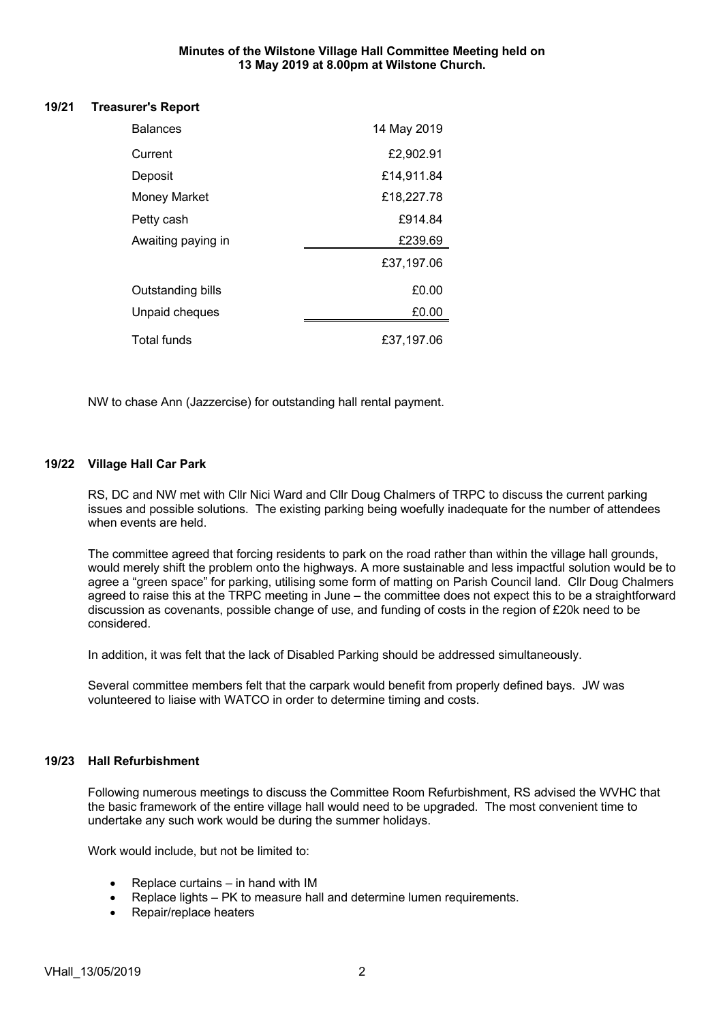#### **Minutes of the Wilstone Village Hall Committee Meeting held on 13 May 2019 at 8.00pm at Wilstone Church.**

#### **19/21 Treasurer's Report**

| <b>Balances</b>     | 14 May 2019 |
|---------------------|-------------|
| Current             | £2,902.91   |
| Deposit             | £14,911.84  |
| <b>Money Market</b> | £18,227.78  |
| Petty cash          | £914.84     |
| Awaiting paying in  | £239.69     |
|                     | £37,197.06  |
| Outstanding bills   | £0.00       |
| Unpaid cheques      | £0.00       |
| <b>Total funds</b>  | £37.197.06  |

NW to chase Ann (Jazzercise) for outstanding hall rental payment.

### **19/22 Village Hall Car Park**

RS, DC and NW met with Cllr Nici Ward and Cllr Doug Chalmers of TRPC to discuss the current parking issues and possible solutions. The existing parking being woefully inadequate for the number of attendees when events are held.

The committee agreed that forcing residents to park on the road rather than within the village hall grounds, would merely shift the problem onto the highways. A more sustainable and less impactful solution would be to agree a "green space" for parking, utilising some form of matting on Parish Council land. Cllr Doug Chalmers agreed to raise this at the TRPC meeting in June – the committee does not expect this to be a straightforward discussion as covenants, possible change of use, and funding of costs in the region of £20k need to be considered.

In addition, it was felt that the lack of Disabled Parking should be addressed simultaneously.

Several committee members felt that the carpark would benefit from properly defined bays. JW was volunteered to liaise with WATCO in order to determine timing and costs.

#### **19/23 Hall Refurbishment**

Following numerous meetings to discuss the Committee Room Refurbishment, RS advised the WVHC that the basic framework of the entire village hall would need to be upgraded. The most convenient time to undertake any such work would be during the summer holidays.

Work would include, but not be limited to:

- Replace curtains in hand with IM
- Replace lights PK to measure hall and determine lumen requirements.
- Repair/replace heaters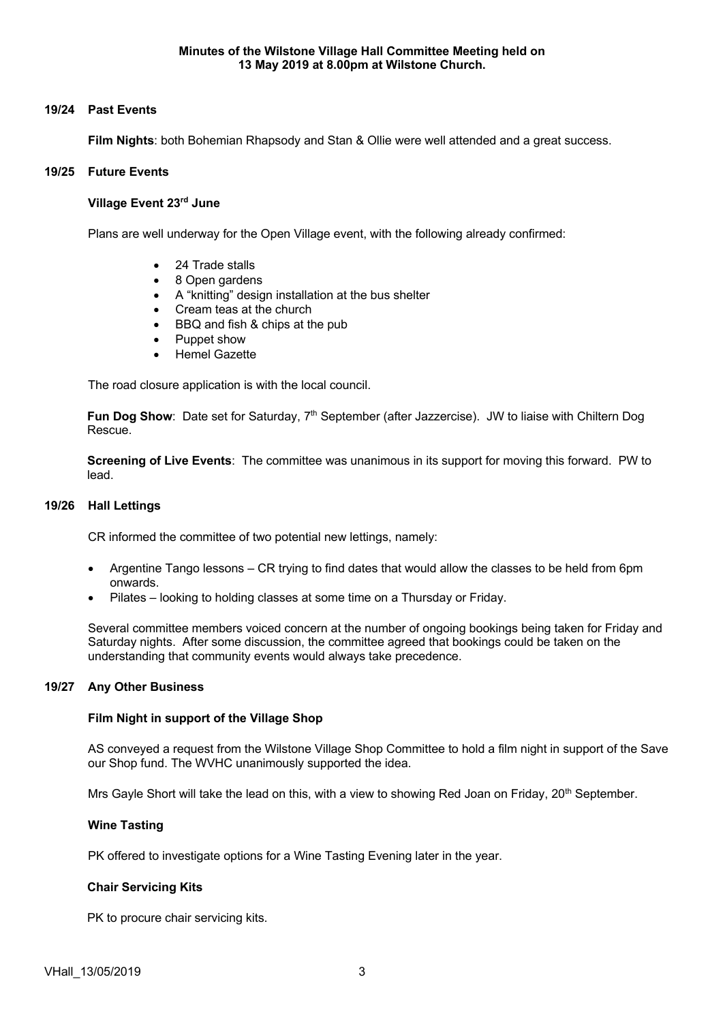# **19/24 Past Events**

**Film Nights**: both Bohemian Rhapsody and Stan & Ollie were well attended and a great success.

## **19/25 Future Events**

### **Village Event 23rd June**

Plans are well underway for the Open Village event, with the following already confirmed:

- 24 Trade stalls
- 8 Open gardens
- A "knitting" design installation at the bus shelter
- Cream teas at the church
- BBQ and fish & chips at the pub
- Puppet show
- Hemel Gazette

The road closure application is with the local council.

**Fun Dog Show**: Date set for Saturday, 7<sup>th</sup> September (after Jazzercise). JW to liaise with Chiltern Dog Rescue.

**Screening of Live Events**: The committee was unanimous in its support for moving this forward. PW to lead.

#### **19/26 Hall Lettings**

CR informed the committee of two potential new lettings, namely:

- Argentine Tango lessons CR trying to find dates that would allow the classes to be held from 6pm onwards.
- Pilates looking to holding classes at some time on a Thursday or Friday.

Several committee members voiced concern at the number of ongoing bookings being taken for Friday and Saturday nights. After some discussion, the committee agreed that bookings could be taken on the understanding that community events would always take precedence.

#### **19/27 Any Other Business**

#### **Film Night in support of the Village Shop**

AS conveyed a request from the Wilstone Village Shop Committee to hold a film night in support of the Save our Shop fund. The WVHC unanimously supported the idea.

Mrs Gayle Short will take the lead on this, with a view to showing Red Joan on Friday, 20<sup>th</sup> September.

# **Wine Tasting**

PK offered to investigate options for a Wine Tasting Evening later in the year.

# **Chair Servicing Kits**

PK to procure chair servicing kits.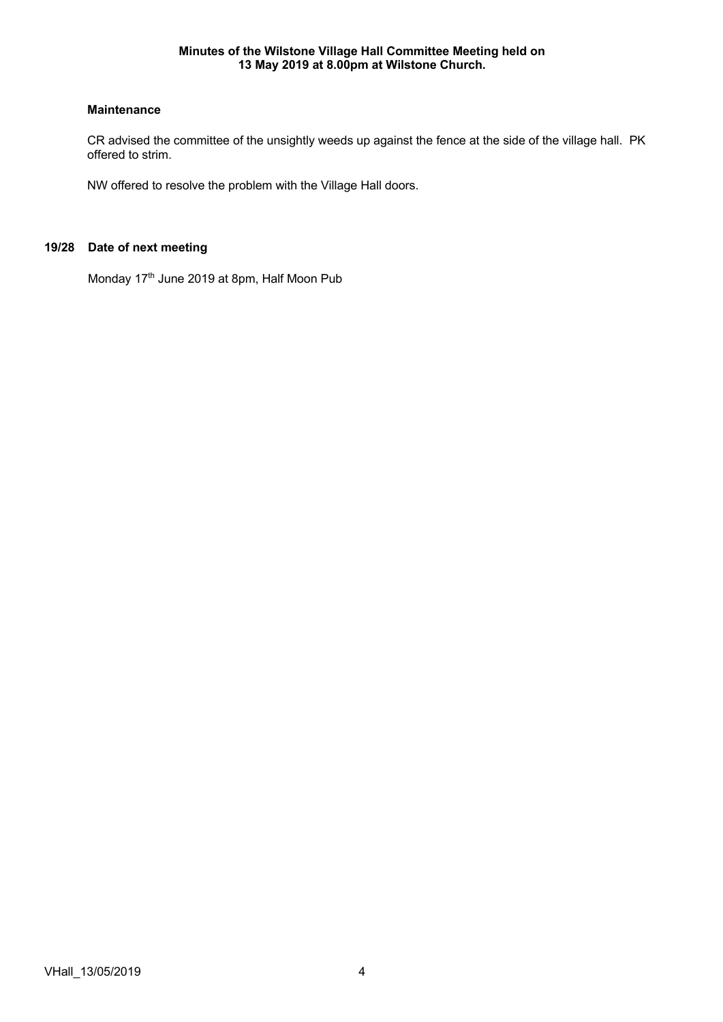# **Maintenance**

CR advised the committee of the unsightly weeds up against the fence at the side of the village hall. PK offered to strim.

NW offered to resolve the problem with the Village Hall doors.

# **19/28 Date of next meeting**

Monday 17<sup>th</sup> June 2019 at 8pm, Half Moon Pub